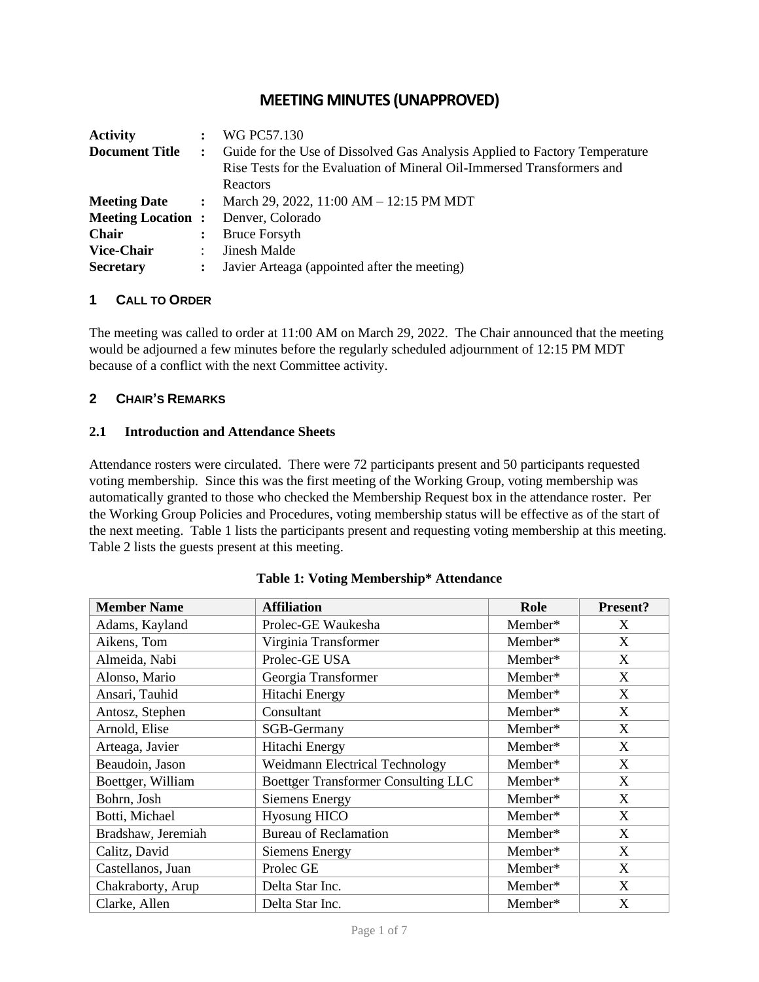# **MEETING MINUTES (UNAPPROVED)**

| <b>Activity</b>          |                | WG PC57.130                                                                |
|--------------------------|----------------|----------------------------------------------------------------------------|
| <b>Document Title</b>    | $\mathcal{L}$  | Guide for the Use of Dissolved Gas Analysis Applied to Factory Temperature |
|                          |                | Rise Tests for the Evaluation of Mineral Oil-Immersed Transformers and     |
|                          |                | Reactors                                                                   |
| <b>Meeting Date</b>      | $\mathbf{r}$   | March 29, 2022, 11:00 AM $-$ 12:15 PM MDT                                  |
| <b>Meeting Location:</b> |                | Denver, Colorado                                                           |
| <b>Chair</b>             | $\ddot{\cdot}$ | <b>Bruce Forsyth</b>                                                       |
| <b>Vice-Chair</b>        | ÷              | <b>Jinesh Malde</b>                                                        |
| <b>Secretary</b>         |                | : Javier Arteaga (appointed after the meeting)                             |

#### **1 CALL TO ORDER**

The meeting was called to order at 11:00 AM on March 29, 2022. The Chair announced that the meeting would be adjourned a few minutes before the regularly scheduled adjournment of 12:15 PM MDT because of a conflict with the next Committee activity.

## **2 CHAIR'S REMARKS**

#### **2.1 Introduction and Attendance Sheets**

Attendance rosters were circulated. There were 72 participants present and 50 participants requested voting membership. Since this was the first meeting of the Working Group, voting membership was automatically granted to those who checked the Membership Request box in the attendance roster. Per the Working Group Policies and Procedures, voting membership status will be effective as of the start of the next meeting. Table 1 lists the participants present and requesting voting membership at this meeting. Table 2 lists the guests present at this meeting.

| <b>Member Name</b> | <b>Affiliation</b>                         | Role    | <b>Present?</b> |
|--------------------|--------------------------------------------|---------|-----------------|
| Adams, Kayland     | Prolec-GE Waukesha                         | Member* | X               |
| Aikens, Tom        | Virginia Transformer                       | Member* | X               |
| Almeida, Nabi      | Prolec-GE USA                              | Member* | X               |
| Alonso, Mario      | Georgia Transformer                        | Member* | X               |
| Ansari, Tauhid     | Hitachi Energy                             | Member* | X               |
| Antosz, Stephen    | Consultant                                 | Member* | X               |
| Arnold, Elise      | SGB-Germany                                | Member* | X               |
| Arteaga, Javier    | Hitachi Energy                             | Member* | X               |
| Beaudoin, Jason    | <b>Weidmann Electrical Technology</b>      | Member* | X               |
| Boettger, William  | <b>Boettger Transformer Consulting LLC</b> | Member* | X               |
| Bohrn, Josh        | <b>Siemens Energy</b>                      | Member* | X               |
| Botti, Michael     | <b>Hyosung HICO</b>                        | Member* | X               |
| Bradshaw, Jeremiah | <b>Bureau of Reclamation</b>               | Member* | X               |
| Calitz, David      | <b>Siemens Energy</b>                      | Member* | X               |
| Castellanos, Juan  | Prolec GE                                  | Member* | X               |
| Chakraborty, Arup  | Delta Star Inc.                            | Member* | X               |
| Clarke, Allen      | Delta Star Inc.                            | Member* | X               |

#### **Table 1: Voting Membership\* Attendance**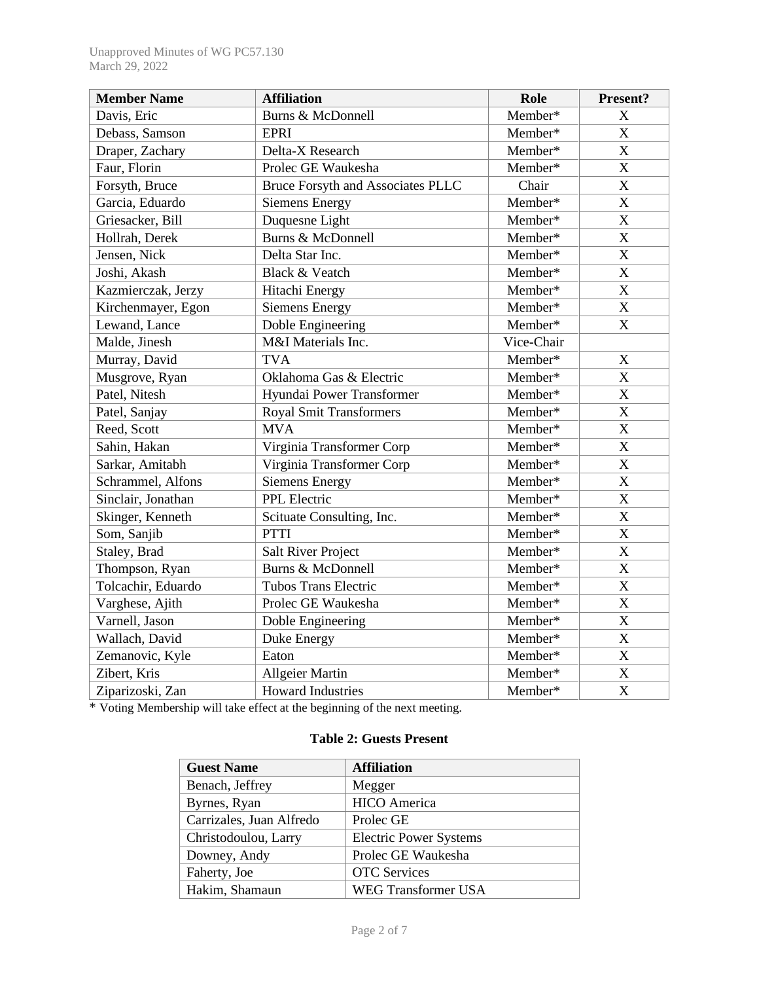| <b>Member Name</b> | <b>Affiliation</b>                | Role       | Present?                  |
|--------------------|-----------------------------------|------------|---------------------------|
| Davis, Eric        | Burns & McDonnell                 | Member*    | X                         |
| Debass, Samson     | <b>EPRI</b>                       | Member*    | $\mathbf X$               |
| Draper, Zachary    | Delta-X Research                  | Member*    | $\mathbf X$               |
| Faur, Florin       | Prolec GE Waukesha                | Member*    | $\mathbf X$               |
| Forsyth, Bruce     | Bruce Forsyth and Associates PLLC | Chair      | $\mathbf X$               |
| Garcia, Eduardo    | <b>Siemens Energy</b>             | Member*    | $\mathbf X$               |
| Griesacker, Bill   | Duquesne Light                    | Member*    | $\mathbf X$               |
| Hollrah, Derek     | Burns & McDonnell                 | Member*    | $\mathbf X$               |
| Jensen, Nick       | Delta Star Inc.                   | Member*    | $\mathbf X$               |
| Joshi, Akash       | Black & Veatch                    | Member*    | X                         |
| Kazmierczak, Jerzy | Hitachi Energy                    | Member*    | $\mathbf X$               |
| Kirchenmayer, Egon | <b>Siemens Energy</b>             | Member*    | $\mathbf X$               |
| Lewand, Lance      | Doble Engineering                 | Member*    | $\boldsymbol{\mathrm{X}}$ |
| Malde, Jinesh      | M&I Materials Inc.                | Vice-Chair |                           |
| Murray, David      | <b>TVA</b>                        | Member*    | X                         |
| Musgrove, Ryan     | Oklahoma Gas & Electric           | Member*    | $\mathbf X$               |
| Patel, Nitesh      | Hyundai Power Transformer         | Member*    | $\mathbf X$               |
| Patel, Sanjay      | <b>Royal Smit Transformers</b>    | Member*    | $\mathbf X$               |
| Reed, Scott        | <b>MVA</b>                        | Member*    | X                         |
| Sahin, Hakan       | Virginia Transformer Corp         | Member*    | $\mathbf X$               |
| Sarkar, Amitabh    | Virginia Transformer Corp         | Member*    | $\mathbf X$               |
| Schrammel, Alfons  | <b>Siemens Energy</b>             | Member*    | $\boldsymbol{\mathrm{X}}$ |
| Sinclair, Jonathan | PPL Electric                      | Member*    | $\mathbf X$               |
| Skinger, Kenneth   | Scituate Consulting, Inc.         | Member*    | $\mathbf X$               |
| Som, Sanjib        | <b>PTTI</b>                       | Member*    | $\mathbf X$               |
| Staley, Brad       | <b>Salt River Project</b>         | Member*    | $\mathbf X$               |
| Thompson, Ryan     | Burns & McDonnell                 | Member*    | $\mathbf X$               |
| Tolcachir, Eduardo | <b>Tubos Trans Electric</b>       | Member*    | $\mathbf X$               |
| Varghese, Ajith    | Prolec GE Waukesha                | Member*    | $\mathbf X$               |
| Varnell, Jason     | Doble Engineering                 | Member*    | $\mathbf X$               |
| Wallach, David     | Duke Energy                       | Member*    | $\mathbf X$               |
| Zemanovic, Kyle    | Eaton                             | Member*    | $\mathbf X$               |
| Zibert, Kris       | <b>Allgeier Martin</b>            | Member*    | $\mathbf X$               |
| Ziparizoski, Zan   | <b>Howard Industries</b>          | Member*    | $\mathbf X$               |

\* Voting Membership will take effect at the beginning of the next meeting.

# **Table 2: Guests Present**

| <b>Guest Name</b>        | <b>Affiliation</b>            |
|--------------------------|-------------------------------|
| Benach, Jeffrey          | Megger                        |
| Byrnes, Ryan             | <b>HICO</b> America           |
| Carrizales, Juan Alfredo | Prolec GE                     |
| Christodoulou, Larry     | <b>Electric Power Systems</b> |
| Downey, Andy             | Prolec GE Waukesha            |
| Faherty, Joe             | <b>OTC</b> Services           |
| Hakim, Shamaun           | <b>WEG Transformer USA</b>    |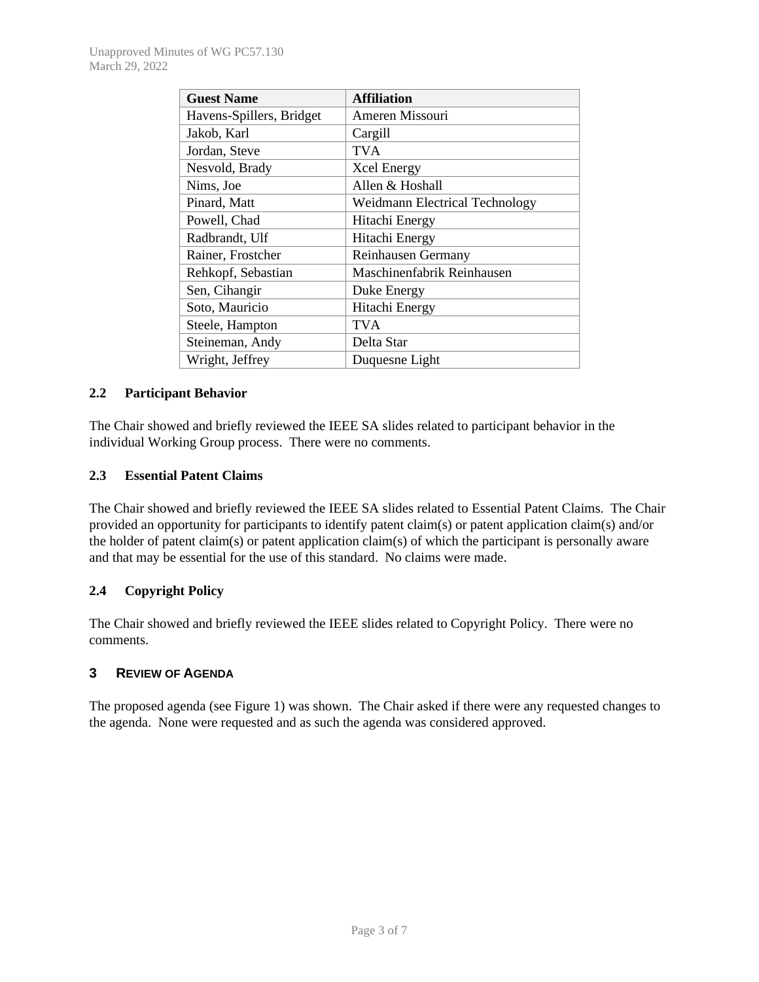| <b>Guest Name</b>        | <b>Affiliation</b>                    |
|--------------------------|---------------------------------------|
| Havens-Spillers, Bridget | Ameren Missouri                       |
| Jakob, Karl              | Cargill                               |
| Jordan, Steve            | TVA                                   |
| Nesvold, Brady           | <b>Xcel Energy</b>                    |
| Nims, Joe                | Allen & Hoshall                       |
| Pinard, Matt             | <b>Weidmann Electrical Technology</b> |
| Powell, Chad             | Hitachi Energy                        |
| Radbrandt, Ulf           | Hitachi Energy                        |
| Rainer, Frostcher        | Reinhausen Germany                    |
| Rehkopf, Sebastian       | Maschinenfabrik Reinhausen            |
| Sen, Cihangir            | Duke Energy                           |
| Soto, Mauricio           | Hitachi Energy                        |
| Steele, Hampton          | TVA                                   |
| Steineman, Andy          | Delta Star                            |
| Wright, Jeffrey          | Duquesne Light                        |

#### **2.2 Participant Behavior**

The Chair showed and briefly reviewed the IEEE SA slides related to participant behavior in the individual Working Group process. There were no comments.

#### **2.3 Essential Patent Claims**

The Chair showed and briefly reviewed the IEEE SA slides related to Essential Patent Claims. The Chair provided an opportunity for participants to identify patent claim(s) or patent application claim(s) and/or the holder of patent claim(s) or patent application claim(s) of which the participant is personally aware and that may be essential for the use of this standard. No claims were made.

## **2.4 Copyright Policy**

The Chair showed and briefly reviewed the IEEE slides related to Copyright Policy. There were no comments.

## **3 REVIEW OF AGENDA**

The proposed agenda (see Figure 1) was shown. The Chair asked if there were any requested changes to the agenda. None were requested and as such the agenda was considered approved.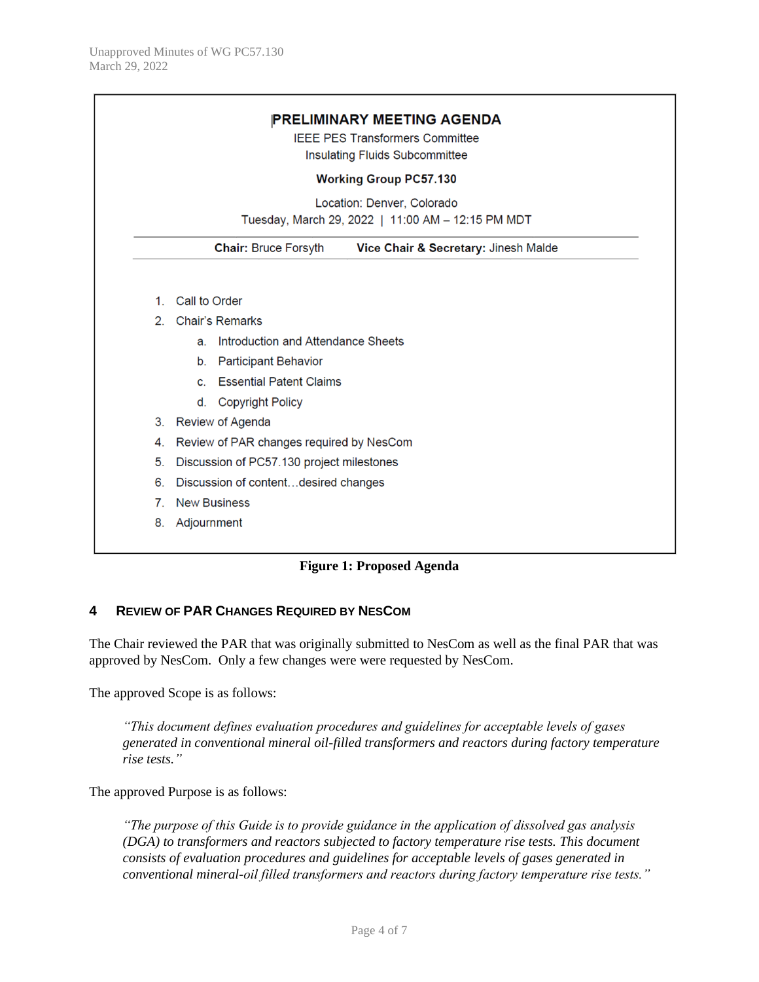|                | <b>Working Group PC57.130</b>                                                   |  |
|----------------|---------------------------------------------------------------------------------|--|
|                | Location: Denver, Colorado<br>Tuesday, March 29, 2022   11:00 AM - 12:15 PM MDT |  |
|                | <b>Chair: Bruce Forsyth</b><br>Vice Chair & Secretary: Jinesh Malde             |  |
| 1 <sup>1</sup> | Call to Order                                                                   |  |
| $2^{\circ}$    | <b>Chair's Remarks</b>                                                          |  |
|                | Introduction and Attendance Sheets<br>a.                                        |  |
|                | <b>Participant Behavior</b><br>b <sub>1</sub>                                   |  |
|                | <b>Essential Patent Claims</b><br>C.                                            |  |
|                | <b>Copyright Policy</b><br>d.                                                   |  |
| 3.             | <b>Review of Agenda</b>                                                         |  |
| 4.             | Review of PAR changes required by NesCom                                        |  |
| 5.             | Discussion of PC57.130 project milestones                                       |  |
| 6.             | Discussion of contentdesired changes                                            |  |
| 7 <sup>1</sup> | <b>New Business</b>                                                             |  |
| 8.             | Adjournment                                                                     |  |

## **Figure 1: Proposed Agenda**

#### **4 REVIEW OF PAR CHANGES REQUIRED BY NESCOM**

The Chair reviewed the PAR that was originally submitted to NesCom as well as the final PAR that was approved by NesCom. Only a few changes were were requested by NesCom.

The approved Scope is as follows:

*"This document defines evaluation procedures and guidelines for acceptable levels of gases generated in conventional mineral oil-filled transformers and reactors during factory temperature rise tests."*

The approved Purpose is as follows:

*"The purpose of this Guide is to provide guidance in the application of dissolved gas analysis (DGA) to transformers and reactors subjected to factory temperature rise tests. This document consists of evaluation procedures and guidelines for acceptable levels of gases generated in conventional mineral-oil filled transformers and reactors during factory temperature rise tests."*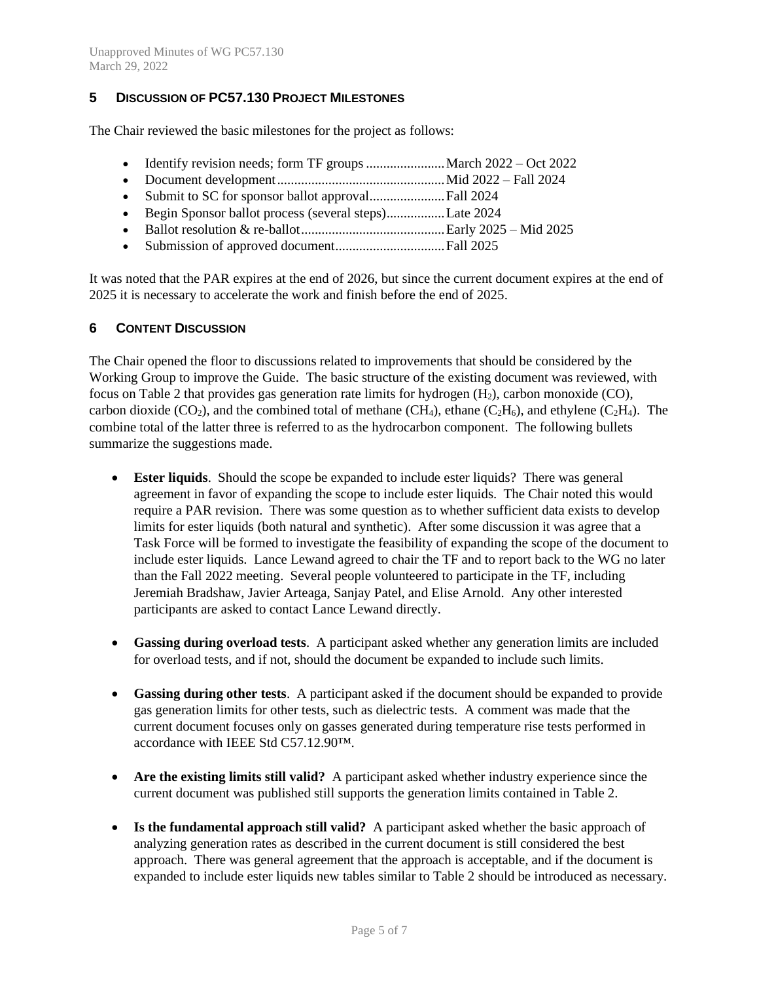## **5 DISCUSSION OF PC57.130 PROJECT MILESTONES**

The Chair reviewed the basic milestones for the project as follows:

- Identify revision needs; form TF groups .......................... March 2022 Oct 2022
- Document development.................................................Mid 2022 Fall 2024
- Submit to SC for sponsor ballot approval......................Fall 2024
- Begin Sponsor ballot process (several steps).................Late 2024
- Ballot resolution & re-ballot..........................................Early 2025 Mid 2025
- Submission of approved document................................Fall 2025

It was noted that the PAR expires at the end of 2026, but since the current document expires at the end of 2025 it is necessary to accelerate the work and finish before the end of 2025.

#### **6 CONTENT DISCUSSION**

The Chair opened the floor to discussions related to improvements that should be considered by the Working Group to improve the Guide. The basic structure of the existing document was reviewed, with focus on Table 2 that provides gas generation rate limits for hydrogen  $(H_2)$ , carbon monoxide (CO), carbon dioxide (CO<sub>2</sub>), and the combined total of methane (CH<sub>4</sub>), ethane (C<sub>2</sub>H<sub>6</sub>), and ethylene (C<sub>2</sub>H<sub>4</sub>). The combine total of the latter three is referred to as the hydrocarbon component. The following bullets summarize the suggestions made.

- **Ester liquids**. Should the scope be expanded to include ester liquids? There was general agreement in favor of expanding the scope to include ester liquids. The Chair noted this would require a PAR revision. There was some question as to whether sufficient data exists to develop limits for ester liquids (both natural and synthetic). After some discussion it was agree that a Task Force will be formed to investigate the feasibility of expanding the scope of the document to include ester liquids. Lance Lewand agreed to chair the TF and to report back to the WG no later than the Fall 2022 meeting. Several people volunteered to participate in the TF, including Jeremiah Bradshaw, Javier Arteaga, Sanjay Patel, and Elise Arnold. Any other interested participants are asked to contact Lance Lewand directly.
- **Gassing during overload tests**. A participant asked whether any generation limits are included for overload tests, and if not, should the document be expanded to include such limits.
- **Gassing during other tests**.A participant asked if the document should be expanded to provide gas generation limits for other tests, such as dielectric tests. A comment was made that the current document focuses only on gasses generated during temperature rise tests performed in accordance with IEEE Std C57.12.90™.
- Are the existing limits still valid? A participant asked whether industry experience since the current document was published still supports the generation limits contained in Table 2.
- **Is the fundamental approach still valid?** A participant asked whether the basic approach of analyzing generation rates as described in the current document is still considered the best approach. There was general agreement that the approach is acceptable, and if the document is expanded to include ester liquids new tables similar to Table 2 should be introduced as necessary.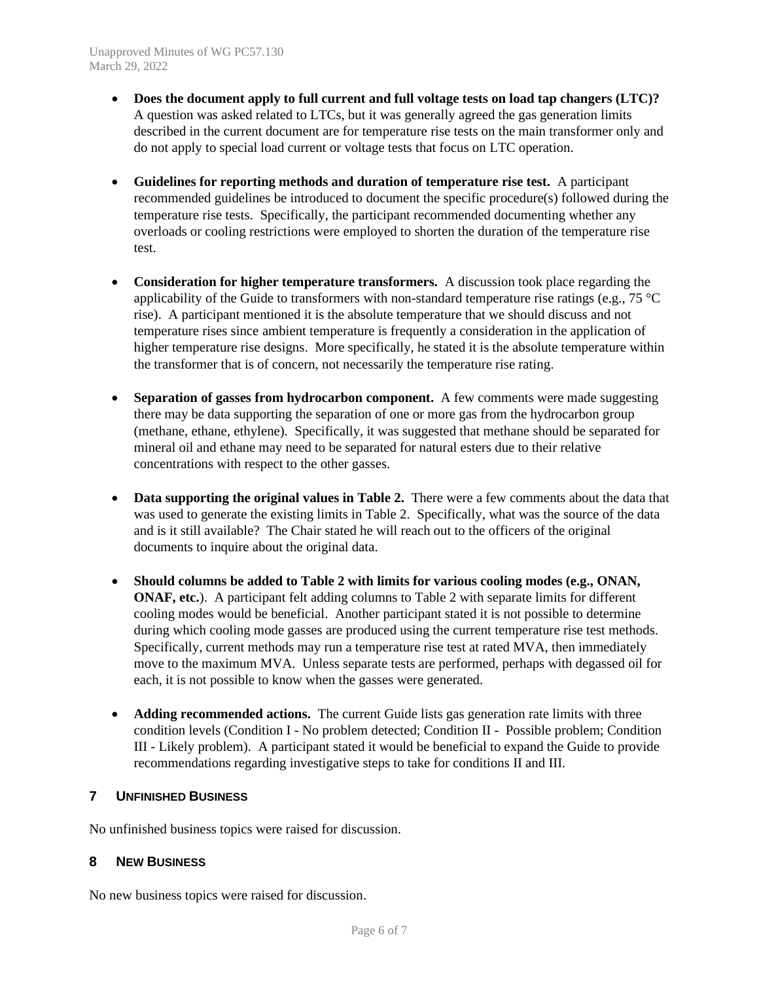- **Does the document apply to full current and full voltage tests on load tap changers (LTC)?** A question was asked related to LTCs, but it was generally agreed the gas generation limits described in the current document are for temperature rise tests on the main transformer only and do not apply to special load current or voltage tests that focus on LTC operation.
- **Guidelines for reporting methods and duration of temperature rise test.** A participant recommended guidelines be introduced to document the specific procedure(s) followed during the temperature rise tests. Specifically, the participant recommended documenting whether any overloads or cooling restrictions were employed to shorten the duration of the temperature rise test.
- **Consideration for higher temperature transformers.** A discussion took place regarding the applicability of the Guide to transformers with non-standard temperature rise ratings (e.g., 75  $^{\circ}$ C) rise). A participant mentioned it is the absolute temperature that we should discuss and not temperature rises since ambient temperature is frequently a consideration in the application of higher temperature rise designs. More specifically, he stated it is the absolute temperature within the transformer that is of concern, not necessarily the temperature rise rating.
- **Separation of gasses from hydrocarbon component.** A few comments were made suggesting there may be data supporting the separation of one or more gas from the hydrocarbon group (methane, ethane, ethylene). Specifically, it was suggested that methane should be separated for mineral oil and ethane may need to be separated for natural esters due to their relative concentrations with respect to the other gasses.
- **Data supporting the original values in Table 2.** There were a few comments about the data that was used to generate the existing limits in Table 2. Specifically, what was the source of the data and is it still available? The Chair stated he will reach out to the officers of the original documents to inquire about the original data.
- **Should columns be added to Table 2 with limits for various cooling modes (e.g., ONAN, ONAF, etc.**). A participant felt adding columns to Table 2 with separate limits for different cooling modes would be beneficial. Another participant stated it is not possible to determine during which cooling mode gasses are produced using the current temperature rise test methods. Specifically, current methods may run a temperature rise test at rated MVA, then immediately move to the maximum MVA. Unless separate tests are performed, perhaps with degassed oil for each, it is not possible to know when the gasses were generated.
- **Adding recommended actions.** The current Guide lists gas generation rate limits with three condition levels (Condition I - No problem detected; Condition II - Possible problem; Condition III - Likely problem). A participant stated it would be beneficial to expand the Guide to provide recommendations regarding investigative steps to take for conditions II and III.

## **7 UNFINISHED BUSINESS**

No unfinished business topics were raised for discussion.

## **8 NEW BUSINESS**

No new business topics were raised for discussion.